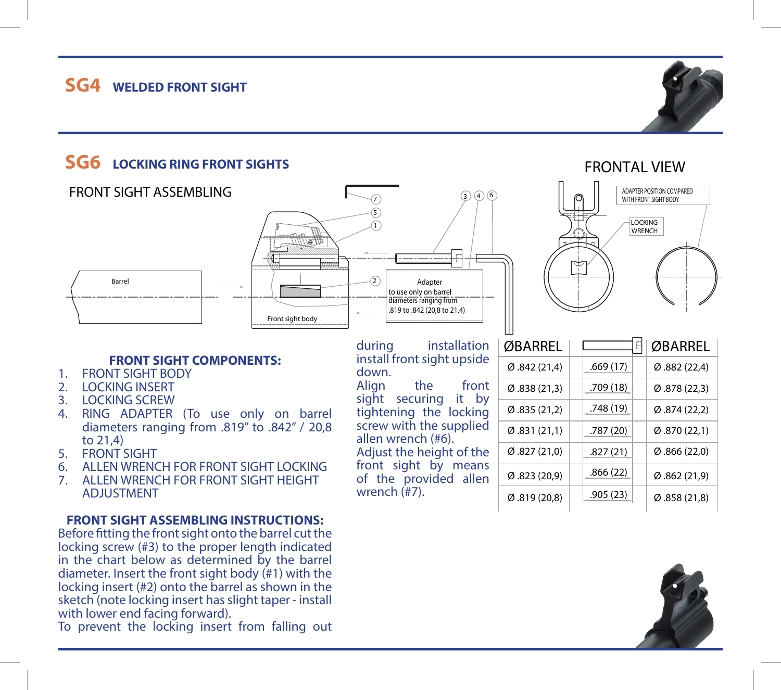# $SG4$  **WELDED FRONT SIGHT**

# **SG6 LOCKING RING FRONT SIGHTS**

### FRONT SIGHT ASSEMBLING

### **FRONT SIGHT COMPONENTS:**

den de la contract de la contract de la contract de la contract de la contract de la contract de la contract d

Front sight body

 $\overline{a}$ 

1.FRONT SIGHT BODY

Barrel

- 2. LOCKING INSERT
- 3. LOCKING SCREW
- 4. RING ADAPTER (To use only on barrel diameters ranging from .819" to .842" / 20,8 to 21,4)
- 5. FRONT SIGHT
- 6. ALLEN WRENCH FOR FRONT SIGHT LOCKING
- 7. ALLEN WRENCH FOR FRONT SIGHT HEIGHT ADJUSTMENT

#### **FRONT SIGHT ASSEMBLING INSTRUCTIONS:**

Before fitting the front sight onto the barrel cut the locking screw (#3) to the proper length indicated in the chart below as determined by the barrel diameter. Insert the front sight body (#1) with the locking insert (#2) onto the barrel as shown in the sketch (note locking insert has slight taper - install with lower end facing forward).

To prevent the locking insert from falling out

during installation install front sight upside down.Align the front

to use only on barrel diameters ranging from .819 to .842 (20,8 to 21,4)

5

7

2

tightening the locking screw with the supplied allen wrench (#6). Adjust the height of the front sight by means of the provided allen

wrench (#7).

sight securing it by

 $(3)(4)(6)$ 



| ØBARREL          | E         | ØBARREL                   |
|------------------|-----------|---------------------------|
| Ø.842(21,4)      | .669(17)  | (22,4)                    |
| Ø.838(21,3)      | .709(18)  | (22,3)                    |
| Ø.835(21,2)      | .748 (19) | $\varnothing$ .874 (22,2) |
| Ø.831(21,1)      | .787 (20) | (22,1)                    |
| Ø.827(21,0)      | .827(21)  | $\varnothing$ .866 (22,0) |
| Ø.823(20,9)      | .866(22)  | Ø.862(21,9)               |
| (20, 819)(20, 8) | .905(23)  | (21,8)                    |